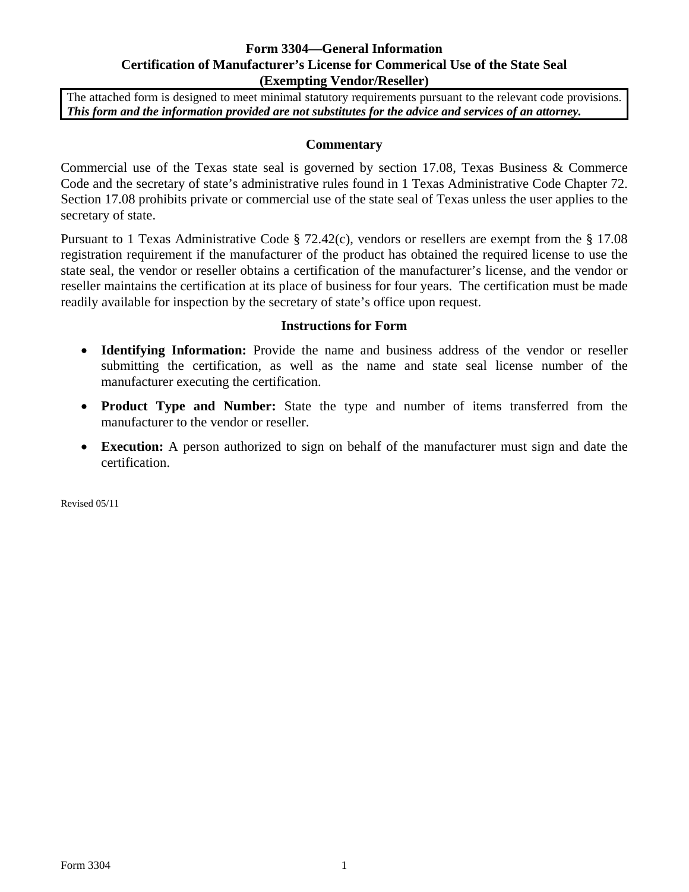## **Form 3304—General Information Certification of Manufacturer's License for Commerical Use of the State Seal (Exempting Vendor/Reseller)**

The attached form is designed to meet minimal statutory requirements pursuant to the relevant code provisions. *This form and the information provided are not substitutes for the advice and services of an attorney.* 

## **Commentary**

Commercial use of the Texas state seal is governed by section 17.08, Texas Business & Commerce Code and the secretary of state's administrative rules found in 1 Texas Administrative Code Chapter 72. Section 17.08 prohibits private or commercial use of the state seal of Texas unless the user applies to the secretary of state.

Pursuant to 1 Texas Administrative Code § 72.42(c), vendors or resellers are exempt from the § 17.08 registration requirement if the manufacturer of the product has obtained the required license to use the state seal, the vendor or reseller obtains a certification of the manufacturer's license, and the vendor or reseller maintains the certification at its place of business for four years. The certification must be made readily available for inspection by the secretary of state's office upon request.

## **Instructions for Form**

- **Identifying Information:** Provide the name and business address of the vendor or reseller submitting the certification, as well as the name and state seal license number of the manufacturer executing the certification.
- **Product Type and Number:** State the type and number of items transferred from the manufacturer to the vendor or reseller.
- **Execution:** A person authorized to sign on behalf of the manufacturer must sign and date the certification.

Revised 05/11